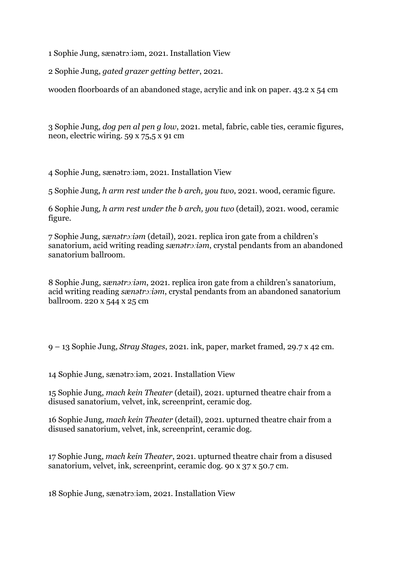1 Sophie Jung, sænətrɔːiəm, 2021. Installation View

2 Sophie Jung, *gated grazer getting better*, 2021.

wooden floorboards of an abandoned stage, acrylic and ink on paper. 43.2 x 54 cm

3 Sophie Jung, *dog pen al pen g low*, 2021. metal, fabric, cable ties, ceramic figures, neon, electric wiring. 59 x 75,5 x 91 cm

4 Sophie Jung, sænətrɔːiəm, 2021. Installation View

5 Sophie Jung, *h arm rest under the b arch, you two*, 2021. wood, ceramic figure.

6 Sophie Jung*, h arm rest under the b arch, you two* (detail), 2021. wood, ceramic figure.

7 Sophie Jung, *sænətrɔːiəm* (detail), 2021. replica iron gate from a children's sanatorium, acid writing reading *sænətrɔːiəm*, crystal pendants from an abandoned sanatorium ballroom.

8 Sophie Jung, *sænətrɔːiəm*, 2021. replica iron gate from a children's sanatorium, acid writing reading *sænətrɔːiəm*, crystal pendants from an abandoned sanatorium ballroom. 220 x 544 x 25 cm

9 – 13 Sophie Jung, *Stray Stages*, 2021. ink, paper, market framed, 29.7 x 42 cm.

14 Sophie Jung, sænətrɔːiəm, 2021. Installation View

15 Sophie Jung, *mach kein Theater* (detail), 2021. upturned theatre chair from a disused sanatorium, velvet, ink, screenprint, ceramic dog.

16 Sophie Jung, *mach kein Theater* (detail), 2021. upturned theatre chair from a disused sanatorium, velvet, ink, screenprint, ceramic dog.

17 Sophie Jung, *mach kein Theater*, 2021. upturned theatre chair from a disused sanatorium, velvet, ink, screenprint, ceramic dog. 90 x 37 x 50.7 cm.

18 Sophie Jung, sænətrɔːiəm, 2021. Installation View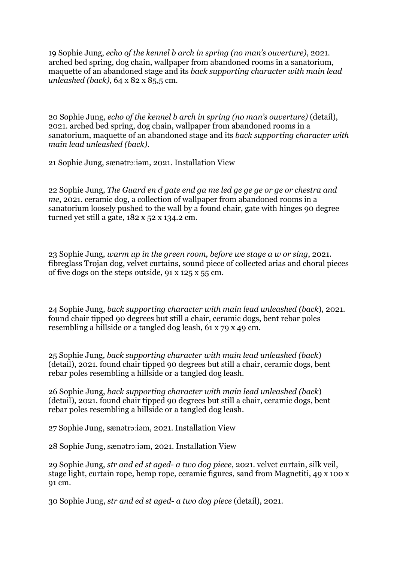19 Sophie Jung, *echo of the kennel b arch in spring (no man's ouverture)*, 2021. arched bed spring, dog chain, wallpaper from abandoned rooms in a sanatorium, maquette of an abandoned stage and its *back supporting character with main lead unleashed (back)*, 64 x 82 x 85,5 cm.

20 Sophie Jung, *echo of the kennel b arch in spring (no man's ouverture)* (detail), 2021. arched bed spring, dog chain, wallpaper from abandoned rooms in a sanatorium, maquette of an abandoned stage and its *back supporting character with main lead unleashed (back)*.

21 Sophie Jung, sænətrɔːiəm, 2021. Installation View

22 Sophie Jung, *The Guard en d gate end ga me led ge ge ge or ge or chestra and me*, 2021. ceramic dog, a collection of wallpaper from abandoned rooms in a sanatorium loosely pushed to the wall by a found chair, gate with hinges 90 degree turned yet still a gate, 182 x 52 x 134.2 cm.

23 Sophie Jung, *warm up in the green room, before we stage a w or sing*, 2021. fibreglass Trojan dog, velvet curtains, sound piece of collected arias and choral pieces of five dogs on the steps outside, 91 x 125 x 55 cm.

24 Sophie Jung, *back supporting character with main lead unleashed (back*), 2021. found chair tipped 90 degrees but still a chair, ceramic dogs, bent rebar poles resembling a hillside or a tangled dog leash, 61 x 79 x 49 cm.

25 Sophie Jung, *back supporting character with main lead unleashed (back*) (detail), 2021. found chair tipped 90 degrees but still a chair, ceramic dogs, bent rebar poles resembling a hillside or a tangled dog leash.

26 Sophie Jung, *back supporting character with main lead unleashed (back*) (detail), 2021. found chair tipped 90 degrees but still a chair, ceramic dogs, bent rebar poles resembling a hillside or a tangled dog leash.

27 Sophie Jung, sænətrɔːiəm, 2021. Installation View

28 Sophie Jung, sænətrɔːiəm, 2021. Installation View

29 Sophie Jung, *str and ed st aged- a two dog piece*, 2021. velvet curtain, silk veil, stage light, curtain rope, hemp rope, ceramic figures, sand from Magnetiti, 49 x 100 x 91 cm.

30 Sophie Jung, *str and ed st aged- a two dog piece* (detail), 2021.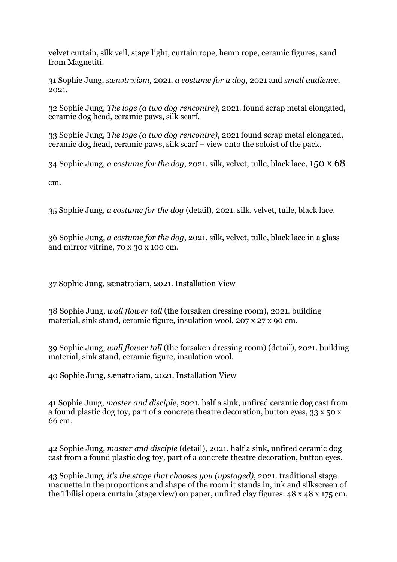velvet curtain, silk veil, stage light, curtain rope, hemp rope, ceramic figures, sand from Magnetiti.

31 Sophie Jung, *sænətrɔːiəm,* 2021*, a costume for a dog,* 2021 and *small audience*, 2021.

32 Sophie Jung, *The loge (a two dog rencontre)*, 2021. found scrap metal elongated, ceramic dog head, ceramic paws, silk scarf.

33 Sophie Jung, *The loge (a two dog rencontre)*, 2021 found scrap metal elongated, ceramic dog head, ceramic paws, silk scarf – view onto the soloist of the pack.

34 Sophie Jung, *a costume for the dog*, 2021. silk, velvet, tulle, black lace, 150 x 68

cm.

35 Sophie Jung, *a costume for the dog* (detail), 2021. silk, velvet, tulle, black lace.

36 Sophie Jung, *a costume for the dog*, 2021. silk, velvet, tulle, black lace in a glass and mirror vitrine, 70 x 30 x 100 cm.

37 Sophie Jung, sænətrɔːiəm, 2021. Installation View

38 Sophie Jung, *wall flower tall* (the forsaken dressing room), 2021. building material, sink stand, ceramic figure, insulation wool, 207 x 27 x 90 cm.

39 Sophie Jung, *wall flower tall* (the forsaken dressing room) (detail), 2021. building material, sink stand, ceramic figure, insulation wool.

40 Sophie Jung, sænətrɔːiəm, 2021. Installation View

41 Sophie Jung, *master and disciple*, 2021. half a sink, unfired ceramic dog cast from a found plastic dog toy, part of a concrete theatre decoration, button eyes, 33 x 50 x 66 cm.

42 Sophie Jung, *master and disciple* (detail), 2021. half a sink, unfired ceramic dog cast from a found plastic dog toy, part of a concrete theatre decoration, button eyes.

43 Sophie Jung, *it's the stage that chooses you (upstaged)*, 2021. traditional stage maquette in the proportions and shape of the room it stands in, ink and silkscreen of the Tbilisi opera curtain (stage view) on paper, unfired clay figures. 48 x 48 x 175 cm.